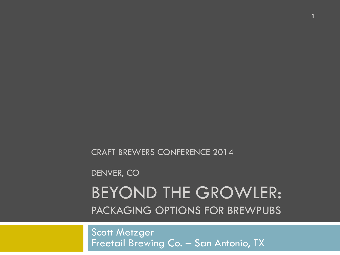CRAFT BREWERS CONFERENCE 2014

DENVER, CO

#### BEYOND THE GROWLER: PACKAGING OPTIONS FOR BREWPUBS

**1** 

Scott Metzger Freetail Brewing Co. – San Antonio, TX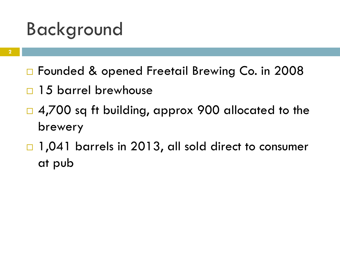#### Background

- □ Founded & opened Freetail Brewing Co. in 2008
- $\Box$  15 barrel brewhouse
- $\Box$  4,700 sq ft building, approx 900 allocated to the brewery
- $\Box$  1,041 barrels in 2013, all sold direct to consumer at pub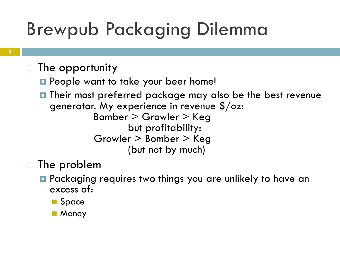# Brewpub Packaging Dilemma

- $\Box$  The opportunity
	- **□** People want to take your beer home!
	- **□** Their most preferred package may also be the best revenue generator. My experience in revenue  $\frac{s}{\alpha}$ : Bomber > Growler > Keg but profitability: Growler > Bomber > Keg (but not by much)
- $\Box$  The problem
	- **□** Packaging requires two things you are unlikely to have an excess of:
		- Space
		- **n** Money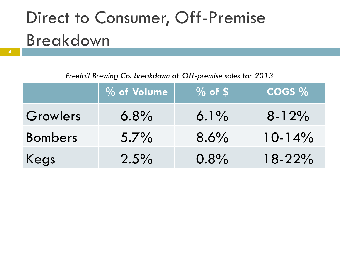# Direct to Consumer, Off-Premise Breakdown

*Freetail Brewing Co. breakdown of Off-premise sales for 2013* 

|                | % of Volume | $\sqrt{9}$ of \$ | $\cos\%$    |
|----------------|-------------|------------------|-------------|
| Growlers       | $6.8\%$     | $6.1\%$          | $8 - 12%$   |
| <b>Bombers</b> | $5.7\%$     | $8.6\%$          | $10 - 14\%$ |
| Kegs           | $2.5\%$     | 0.8%             | $18 - 22%$  |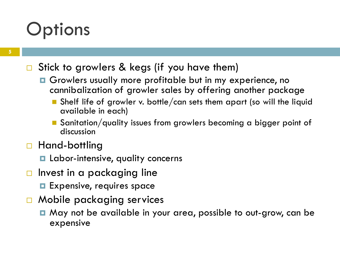#### **Options**

#### $\square$  Stick to growlers & kegs (if you have them)

- **□** Growlers usually more profitable but in my experience, no cannibalization of growler sales by offering another package
	- n Shelf life of growler v. bottle/can sets them apart (so will the liquid available in each)
	- **n** Sanitation/quality issues from growlers becoming a bigger point of discussion
- □ Hand-bottling
	- **□** Labor-intensive, quality concerns
- $\Box$  Invest in a packaging line
	- **□** Expensive, requires space
- □ Mobile packaging services
	- May not be available in your area, possible to out-grow, can be expensive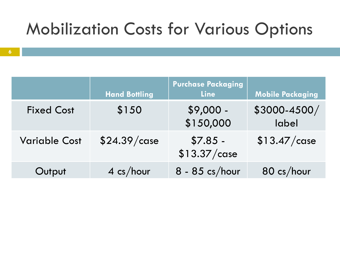#### Mobilization Costs for Various Options

|                      | <b>Hand Bottling</b> | <b>Purchase Packaging</b><br><b>Line</b> | <b>Mobile Packaging</b> |
|----------------------|----------------------|------------------------------------------|-------------------------|
| <b>Fixed Cost</b>    | \$150                | $$9,000 -$<br>\$150,000                  | \$3000-4500/<br>label   |
| <b>Variable Cost</b> | \$24.39/case         | $$7.85 -$<br>$$13.37/c$ ase              | \$13.47/case            |
| Output               | $4 \text{ cs/hour}$  | $8 - 85$ cs/hour                         | $80 \text{ cs/hour}$    |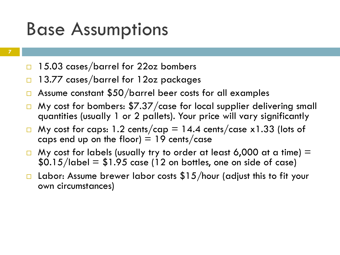#### Base Assumptions

- **7**
- □ 15.03 cases/barrel for 22oz bombers
- $\Box$  13.77 cases/barrel for 12oz packages
- $\Box$  Assume constant \$50/barrel beer costs for all examples
- $\Box$  My cost for bombers: \$7.37/case for local supplier delivering small quantities (usually 1 or 2 pallets). Your price will vary significantly
- $\Box$  My cost for caps: 1.2 cents/cap = 14.4 cents/case x1.33 (lots of caps end up on the floor)  $=$  19 cents/case
- $\Box$  My cost for labels (usually try to order at least 6,000 at a time)  $=$  $$0.15/$ label =  $$1.95$  case (12 on bottles, one on side of case)
- Labor: Assume brewer labor costs  $$15/h$ our (adjust this to fit your own circumstances)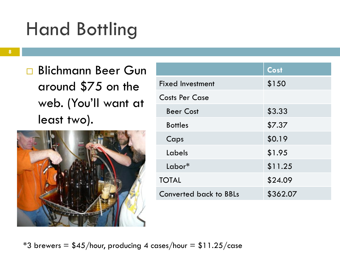# Hand Bottling

- **8**
- □ Blichmann Beer Gun around \$75 on the web. (You'll want at least two).



|                         | Cost     |
|-------------------------|----------|
| <b>Fixed Investment</b> | \$150    |
| <b>Costs Per Case</b>   |          |
| <b>Beer Cost</b>        | \$3.33   |
| <b>Bottles</b>          | \$7.37   |
| Caps                    | \$0.19   |
| Labels                  | \$1.95   |
| Labor*                  | \$11.25  |
| <b>TOTAL</b>            | \$24.09  |
| Converted back to BBLs  | \$362.07 |

\*3 brewers =  $$45/h$ our, producing 4 cases/hour =  $$11.25/c$ ase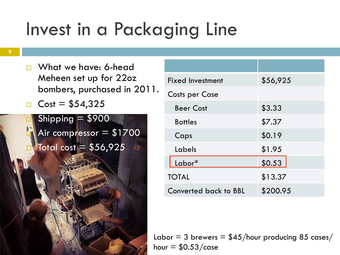# Invest in a Packaging Line

- $\Box$  What we have: 6-head Meheen set up for 22oz bombers, purchased in 2011.
- □  $Cost = $54,325$

Shipping  $= $900$ Air compressor  $= $1700$  $"$ Total cost =  $$56,925$ 

| <b>Fixed Investment</b> | \$56,925 |  |
|-------------------------|----------|--|
| <b>Costs per Case</b>   |          |  |
| <b>Beer Cost</b>        | \$3.33   |  |
| <b>Bottles</b>          | \$7.37   |  |
| Caps                    | \$0.19   |  |
| Labels                  | \$1.95   |  |
| Labor*                  | \$0.53   |  |
| <b>TOTAL</b>            | \$13.37  |  |
| Converted back to BBL   | \$200.95 |  |

Labor = 3 brewers =  $$45/h$ our producing 85 cases/ hour  $=$  \$0.53/case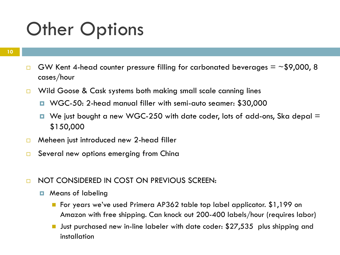#### **Other Options**

- $\Box$  GW Kent 4-head counter pressure filling for carbonated beverages = ~\$9,000, 8 cases/hour
- $\Box$  Wild Goose & Cask systems both making small scale canning lines
	- ¤ WGC-50: 2-head manual filler with semi-auto seamer: \$30,000
	- $\blacksquare$  We just bought a new WGC-250 with date coder, lots of add-ons, Ska depal  $\blacksquare$ \$150,000
- $\Box$  Meheen just introduced new 2-head filler
- $\Box$  Several new options emerging from China
- □ NOT CONSIDERED IN COST ON PREVIOUS SCREEN:
	- **E** Means of labeling
		- For years we've used Primera AP362 table top label applicator. \$1,199 on Amazon with free shipping. Can knock out 200-400 labels/hour (requires labor)
		- Just purchased new in-line labeler with date coder: \$27,535 plus shipping and installation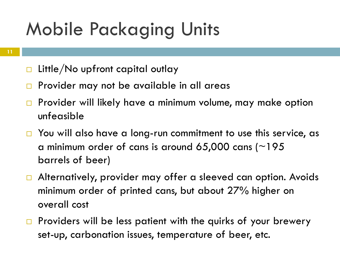# Mobile Packaging Units

- $\Box$  Little/No upfront capital outlay
- $\Box$  Provider may not be available in all areas
- $\square$  Provider will likely have a minimum volume, may make option unfeasible
- $\Box$  You will also have a long-run commitment to use this service, as a minimum order of cans is around 65,000 cans ( $\sim$ 195 barrels of beer)
- $\Box$  Alternatively, provider may offer a sleeved can option. Avoids minimum order of printed cans, but about 27% higher on overall cost
- $\Box$  Providers will be less patient with the quirks of your brewery set-up, carbonation issues, temperature of beer, etc.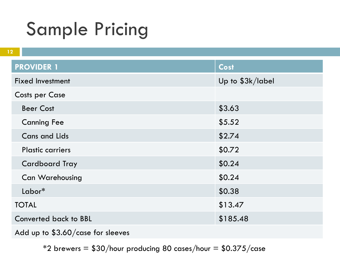#### Sample Pricing

| 12                                  |                  |
|-------------------------------------|------------------|
| <b>PROVIDER 1</b>                   | <b>Cost</b>      |
| <b>Fixed Investment</b>             | Up to \$3k/label |
| <b>Costs per Case</b>               |                  |
| <b>Beer Cost</b>                    | \$3.63           |
| <b>Canning Fee</b>                  | \$5.52           |
| <b>Cans and Lids</b>                | \$2.74           |
| <b>Plastic carriers</b>             | \$0.72           |
| <b>Cardboard Tray</b>               | \$0.24           |
| <b>Can Warehousing</b>              | \$0.24           |
| $Labor^*$                           | \$0.38           |
| <b>TOTAL</b>                        | \$13.47          |
| <b>Converted back to BBL</b>        | \$185.48         |
| Add up to $$3.60/c$ ase for sleeves |                  |

 $*2$  brewers = \$30/hour producing 80 cases/hour = \$0.375/case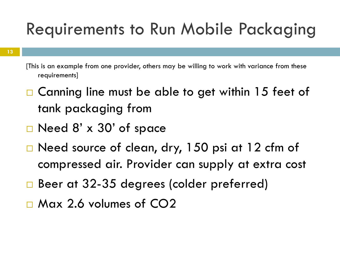#### Requirements to Run Mobile Packaging

- [This is an example from one provider, others may be willing to work with variance from these requirements]
- $\Box$  Canning line must be able to get within 15 feet of tank packaging from
- $\square$  Need 8' x 30' of space
- $\square$  Need source of clean, dry, 150 psi at 12 cfm of compressed air. Provider can supply at extra cost
- □ Beer at 32-35 degrees (colder preferred)
- $\square$  Max 2.6 volumes of CO2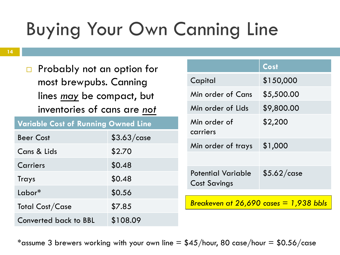# Buying Your Own Canning Line

 $\Box$  Probably not an option for most brewpubs. Canning lines *may* be compact, but inventories of cans are *not* 

|  |  |  | <b>Variable Cost of Running Owned Line</b> |
|--|--|--|--------------------------------------------|
|--|--|--|--------------------------------------------|

| <b>Beer Cost</b>      | $$3.63/c$ ase |
|-----------------------|---------------|
| Cans & Lids           | \$2.70        |
| Carriers              | \$0.48        |
| Trays                 | \$0.48        |
| $Labor*$              | \$0.56        |
| Total Cost/Case       | \$7.85        |
| Converted back to BBL | \$108.09      |

|                                                  | Cost                                           |
|--------------------------------------------------|------------------------------------------------|
| Capital                                          | \$150,000                                      |
| Min order of Cans                                | \$5,500.00                                     |
| Min order of Lids                                | \$9,800.00                                     |
| Min order of<br>carriers                         | \$2,200                                        |
| Min order of trays                               | \$1,000                                        |
|                                                  |                                                |
| <b>Potential Variable</b><br><b>Cost Savings</b> | \$5.62/case                                    |
|                                                  | <u> Breakeven at 26,690 cases = 1,938 bbls</u> |

\*assume 3 brewers working with your own line  $= $45/h$ our, 80 case/hour  $= $0.56/c$ ase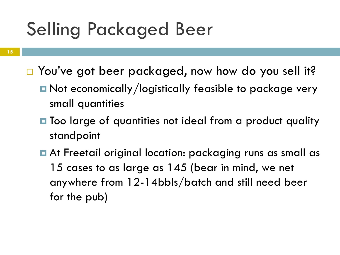#### Selling Packaged Beer

- **15**
- □ You've got beer packaged, now how do you sell it?
	- Not economically/logistically feasible to package very small quantities
	- **□** Too large of quantities not ideal from a product quality standpoint
	- At Freetail original location: packaging runs as small as 15 cases to as large as 145 (bear in mind, we net anywhere from 12-14bbls/batch and still need beer for the pub)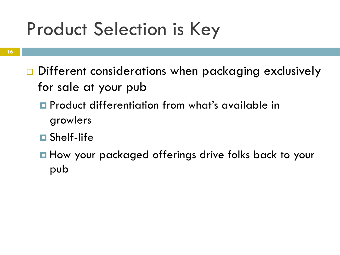### Product Selection is Key

- **16**
- $\Box$  Different considerations when packaging exclusively for sale at your pub
	- **□** Product differentiation from what's available in growlers
	- **□** Shelf-life
	- **□** How your packaged offerings drive folks back to your pub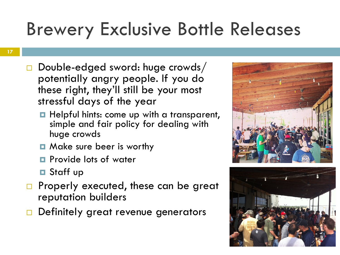# Brewery Exclusive Bottle Releases

- $\square$  Double-edged sword: huge crowds/ potentially angry people. If you do these right, they'll still be your most stressful days of the year
	- **□** Helpful hints: come up with a transparent, simple and fair policy for dealing with huge crowds
	- Make sure beer is worthy
	- **E** Provide lots of water
	- **□** Staff up
- $\Box$  Properly executed, these can be great reputation builders
- $\Box$  Definitely great revenue generators



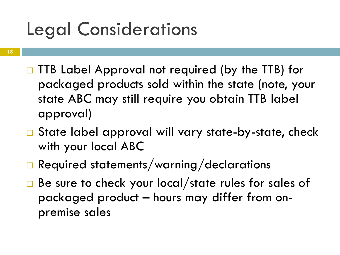### Legal Considerations

- **18**
- $\square$  TTB Label Approval not required (by the TTB) for packaged products sold within the state (note, your state ABC may still require you obtain TTB label approval)
- $\square$  State label approval will vary state-by-state, check with your local ABC
- $\Box$  Required statements/warning/declarations
- $\Box$  Be sure to check your local/state rules for sales of packaged product – hours may differ from onpremise sales